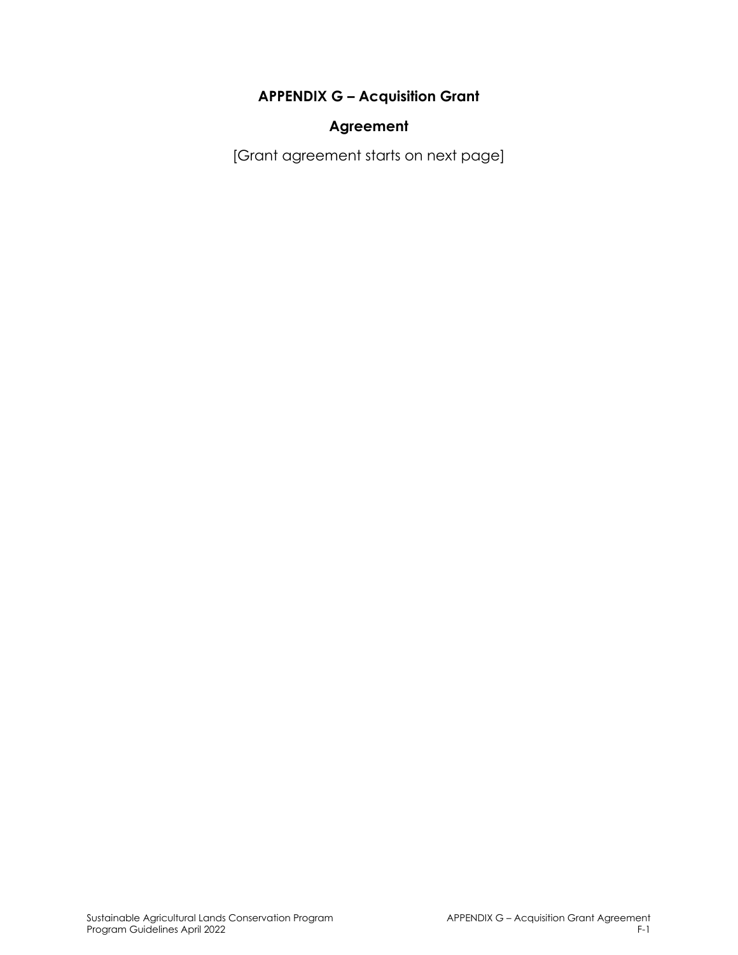### **APPENDIX G – Acquisition Grant**

#### **Agreement**

[Grant agreement starts on next page]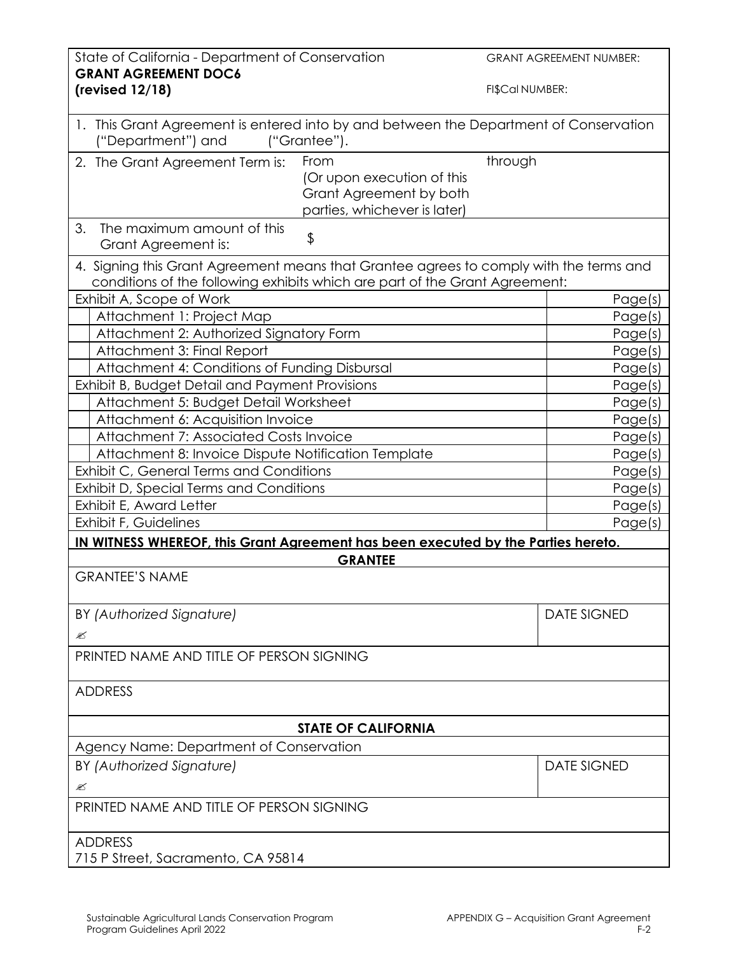| State of California - Department of Conservation<br><b>GRANT AGREEMENT DOC6</b>                                                                                       |                                                                                               | <b>GRANT AGREEMENT NUMBER:</b> |  |
|-----------------------------------------------------------------------------------------------------------------------------------------------------------------------|-----------------------------------------------------------------------------------------------|--------------------------------|--|
| (revised 12/18)                                                                                                                                                       |                                                                                               | FI\$Cal NUMBER:                |  |
| 1. This Grant Agreement is entered into by and between the Department of Conservation<br>("Department") and                                                           | ("Grantee").                                                                                  |                                |  |
| 2. The Grant Agreement Term is:                                                                                                                                       | From<br>(Or upon execution of this<br>Grant Agreement by both<br>parties, whichever is later) | through                        |  |
| 3.<br>The maximum amount of this<br>Grant Agreement is:                                                                                                               | \$                                                                                            |                                |  |
| 4. Signing this Grant Agreement means that Grantee agrees to comply with the terms and<br>conditions of the following exhibits which are part of the Grant Agreement: |                                                                                               |                                |  |
| Exhibit A, Scope of Work                                                                                                                                              |                                                                                               | Page(s)                        |  |
| Attachment 1: Project Map                                                                                                                                             |                                                                                               | Page(s)                        |  |
| Attachment 2: Authorized Signatory Form                                                                                                                               |                                                                                               | Page(s)                        |  |
| Attachment 3: Final Report                                                                                                                                            |                                                                                               | Page(s)                        |  |
| Attachment 4: Conditions of Funding Disbursal                                                                                                                         |                                                                                               | Page(s)                        |  |
| Exhibit B, Budget Detail and Payment Provisions                                                                                                                       |                                                                                               | Page(s)                        |  |
| Attachment 5: Budget Detail Worksheet                                                                                                                                 |                                                                                               | Page(s)                        |  |
| Attachment 6: Acquisition Invoice                                                                                                                                     |                                                                                               | Page(s)                        |  |
| Attachment 7: Associated Costs Invoice                                                                                                                                |                                                                                               | Page(s)                        |  |
| Attachment 8: Invoice Dispute Notification Template                                                                                                                   |                                                                                               | Page(s)                        |  |
| Exhibit C, General Terms and Conditions                                                                                                                               |                                                                                               | Page(s)                        |  |
| Exhibit D, Special Terms and Conditions                                                                                                                               |                                                                                               | Page(s)                        |  |
| Exhibit E, Award Letter                                                                                                                                               |                                                                                               | Page(s)                        |  |
| Exhibit F, Guidelines                                                                                                                                                 |                                                                                               | Page(s)                        |  |
| IN WITNESS WHEREOF, this Grant Agreement has been executed by the Parties hereto.                                                                                     |                                                                                               |                                |  |
|                                                                                                                                                                       | <b>GRANTEE</b>                                                                                |                                |  |
| <b>GRANTEE'S NAME</b>                                                                                                                                                 |                                                                                               |                                |  |
|                                                                                                                                                                       |                                                                                               |                                |  |
| BY (Authorized Signature)                                                                                                                                             |                                                                                               | <b>DATE SIGNED</b>             |  |
| ≤                                                                                                                                                                     |                                                                                               |                                |  |
| PRINTED NAME AND TITLE OF PERSON SIGNING                                                                                                                              |                                                                                               |                                |  |
| <b>ADDRESS</b>                                                                                                                                                        |                                                                                               |                                |  |
| <b>STATE OF CALIFORNIA</b>                                                                                                                                            |                                                                                               |                                |  |
| Agency Name: Department of Conservation                                                                                                                               |                                                                                               |                                |  |
| BY (Authorized Signature)                                                                                                                                             |                                                                                               | <b>DATE SIGNED</b>             |  |
| ≤                                                                                                                                                                     |                                                                                               |                                |  |
| PRINTED NAME AND TITLE OF PERSON SIGNING                                                                                                                              |                                                                                               |                                |  |
|                                                                                                                                                                       |                                                                                               |                                |  |
| <b>ADDRESS</b><br>715 P Street, Sacramento, CA 95814                                                                                                                  |                                                                                               |                                |  |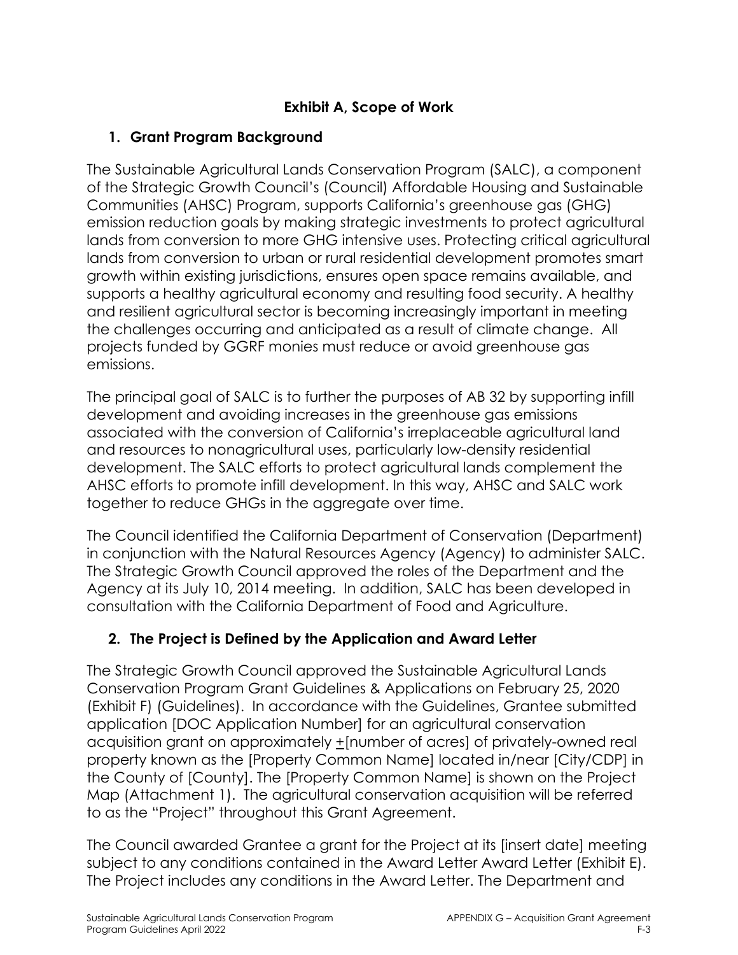# **Exhibit A, Scope of Work**

# **1. Grant Program Background**

The Sustainable Agricultural Lands Conservation Program (SALC), a component of the Strategic Growth Council's (Council) Affordable Housing and Sustainable Communities (AHSC) Program, supports California's greenhouse gas (GHG) emission reduction goals by making strategic investments to protect agricultural lands from conversion to more GHG intensive uses. Protecting critical agricultural lands from conversion to urban or rural residential development promotes smart growth within existing jurisdictions, ensures open space remains available, and supports a healthy agricultural economy and resulting food security. A healthy and resilient agricultural sector is becoming increasingly important in meeting the challenges occurring and anticipated as a result of climate change. All projects funded by GGRF monies must reduce or avoid greenhouse gas emissions.

The principal goal of SALC is to further the purposes of AB 32 by supporting infill development and avoiding increases in the greenhouse gas emissions associated with the conversion of California's irreplaceable agricultural land and resources to nonagricultural uses, particularly low-density residential development. The SALC efforts to protect agricultural lands complement the AHSC efforts to promote infill development. In this way, AHSC and SALC work together to reduce GHGs in the aggregate over time.

The Council identified the California Department of Conservation (Department) in conjunction with the Natural Resources Agency (Agency) to administer SALC. The Strategic Growth Council approved the roles of the Department and the Agency at its July 10, 2014 meeting. In addition, SALC has been developed in consultation with the California Department of Food and Agriculture.

# **2. The Project is Defined by the Application and Award Letter**

The Strategic Growth Council approved the Sustainable Agricultural Lands Conservation Program Grant Guidelines & Applications on February 25, 2020 (Exhibit F) (Guidelines). In accordance with the Guidelines, Grantee submitted application [DOC Application Number] for an agricultural conservation acquisition grant on approximately +[number of acres] of privately-owned real property known as the [Property Common Name] located in/near [City/CDP] in the County of [County]. The [Property Common Name] is shown on the Project Map (Attachment 1). The agricultural conservation acquisition will be referred to as the "Project" throughout this Grant Agreement.

The Council awarded Grantee a grant for the Project at its [insert date] meeting subject to any conditions contained in the Award Letter Award Letter (Exhibit E). The Project includes any conditions in the Award Letter. The Department and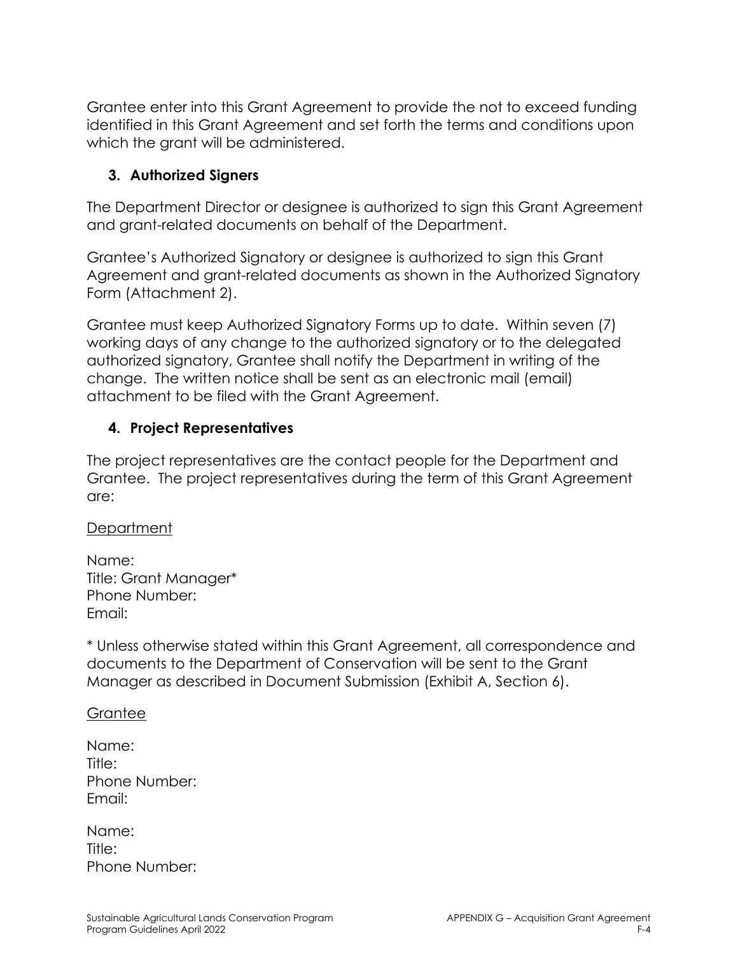Grantee enter into this Grant Agreement to provide the not to exceed funding identified in this Grant Agreement and set forth the terms and conditions upon which the grant will be administered.

### **3. Authorized Signers**

The Department Director or designee is authorized to sign this Grant Agreement and grant-related documents on behalf of the Department.

Grantee's Authorized Signatory or designee is authorized to sign this Grant Agreement and grant-related documents as shown in the Authorized Signatory Form (Attachment 2).

Grantee must keep Authorized Signatory Forms up to date. Within seven (7) working days of any change to the authorized signatory or to the delegated authorized signatory, Grantee shall notify the Department in writing of the change. The written notice shall be sent as an electronic mail (email) attachment to be filed with the Grant Agreement.

### **4. Project Representatives**

The project representatives are the contact people for the Department and Grantee. The project representatives during the term of this Grant Agreement are:

#### **Department**

Name: Title: Grant Manager\* Phone Number: Email:

\* Unless otherwise stated within this Grant Agreement, all correspondence and documents to the Department of Conservation will be sent to the Grant Manager as described in Document Submission (Exhibit A, Section 6).

#### Grantee

| Name:         |
|---------------|
| Title:        |
| Phone Number: |
| Email:        |

| Name:  |               |
|--------|---------------|
| Title: |               |
|        | Phone Number: |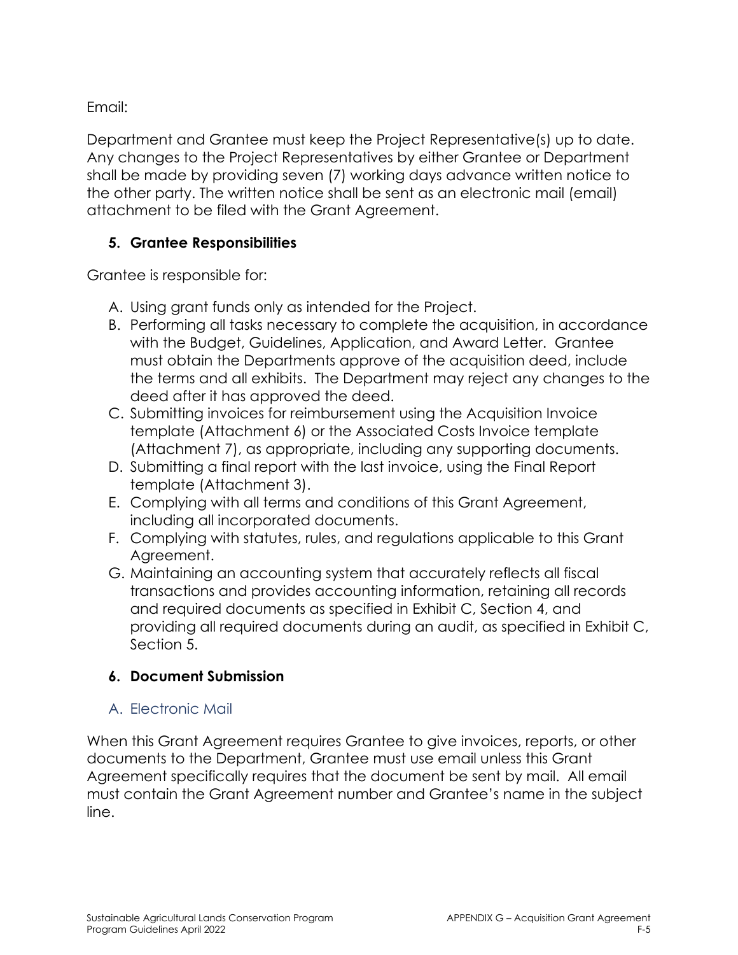Email:

Department and Grantee must keep the Project Representative(s) up to date. Any changes to the Project Representatives by either Grantee or Department shall be made by providing seven (7) working days advance written notice to the other party. The written notice shall be sent as an electronic mail (email) attachment to be filed with the Grant Agreement.

### **5. Grantee Responsibilities**

Grantee is responsible for:

- A. Using grant funds only as intended for the Project.
- B. Performing all tasks necessary to complete the acquisition, in accordance with the Budget, Guidelines, Application, and Award Letter. Grantee must obtain the Departments approve of the acquisition deed, include the terms and all exhibits. The Department may reject any changes to the deed after it has approved the deed.
- C. Submitting invoices for reimbursement using the Acquisition Invoice template (Attachment 6) or the Associated Costs Invoice template (Attachment 7), as appropriate, including any supporting documents.
- D. Submitting a final report with the last invoice, using the Final Report template (Attachment 3).
- E. Complying with all terms and conditions of this Grant Agreement, including all incorporated documents.
- F. Complying with statutes, rules, and regulations applicable to this Grant Agreement.
- G. Maintaining an accounting system that accurately reflects all fiscal transactions and provides accounting information, retaining all records and required documents as specified in Exhibit C, Section 4, and providing all required documents during an audit, as specified in Exhibit C, Section 5.

### **6. Document Submission**

### A. Electronic Mail

When this Grant Agreement requires Grantee to give invoices, reports, or other documents to the Department, Grantee must use email unless this Grant Agreement specifically requires that the document be sent by mail. All email must contain the Grant Agreement number and Grantee's name in the subject line.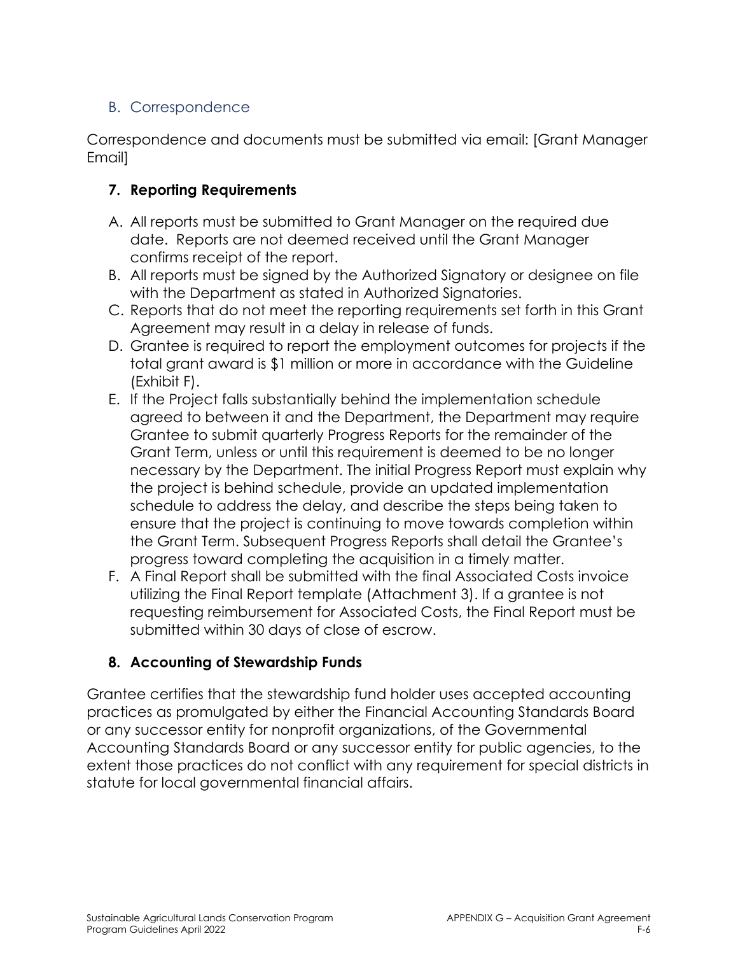### B. Correspondence

Correspondence and documents must be submitted via email: [Grant Manager Email]

### **7. Reporting Requirements**

- A. All reports must be submitted to Grant Manager on the required due date. Reports are not deemed received until the Grant Manager confirms receipt of the report.
- B. All reports must be signed by the Authorized Signatory or designee on file with the Department as stated in Authorized Signatories.
- C. Reports that do not meet the reporting requirements set forth in this Grant Agreement may result in a delay in release of funds.
- D. Grantee is required to report the employment outcomes for projects if the total grant award is \$1 million or more in accordance with the Guideline (Exhibit F).
- E. If the Project falls substantially behind the implementation schedule agreed to between it and the Department, the Department may require Grantee to submit quarterly Progress Reports for the remainder of the Grant Term, unless or until this requirement is deemed to be no longer necessary by the Department. The initial Progress Report must explain why the project is behind schedule, provide an updated implementation schedule to address the delay, and describe the steps being taken to ensure that the project is continuing to move towards completion within the Grant Term. Subsequent Progress Reports shall detail the Grantee's progress toward completing the acquisition in a timely matter.
- F. A Final Report shall be submitted with the final Associated Costs invoice utilizing the Final Report template (Attachment 3). If a grantee is not requesting reimbursement for Associated Costs, the Final Report must be submitted within 30 days of close of escrow.

### **8. Accounting of Stewardship Funds**

Grantee certifies that the stewardship fund holder uses accepted accounting practices as promulgated by either the Financial Accounting Standards Board or any successor entity for nonprofit organizations, of the Governmental Accounting Standards Board or any successor entity for public agencies, to the extent those practices do not conflict with any requirement for special districts in statute for local governmental financial affairs.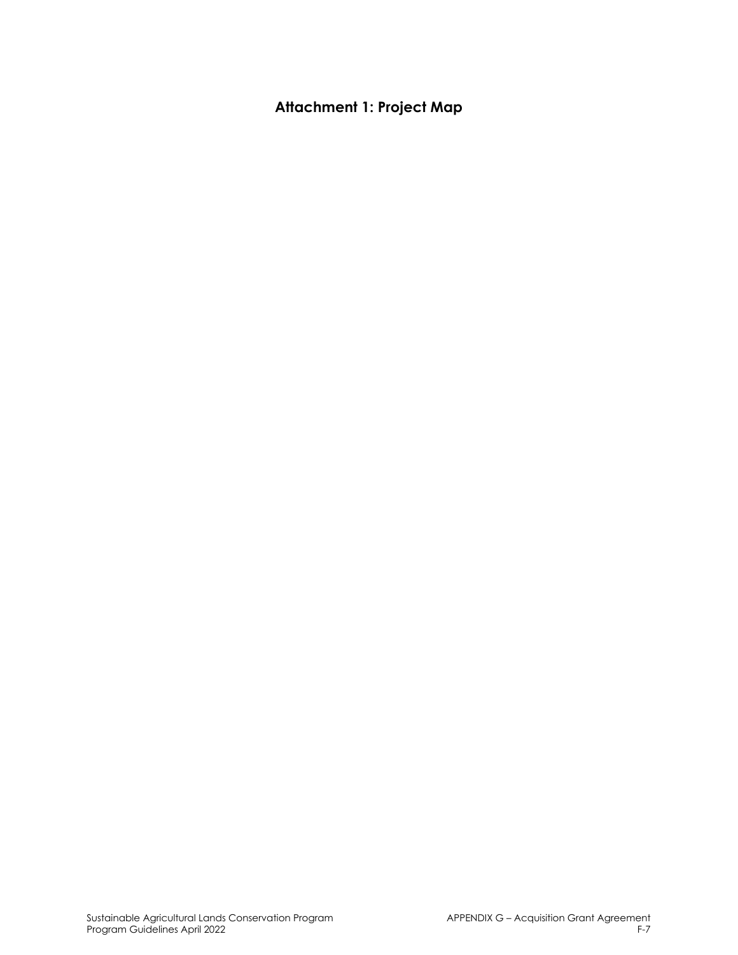# **Attachment 1: Project Map**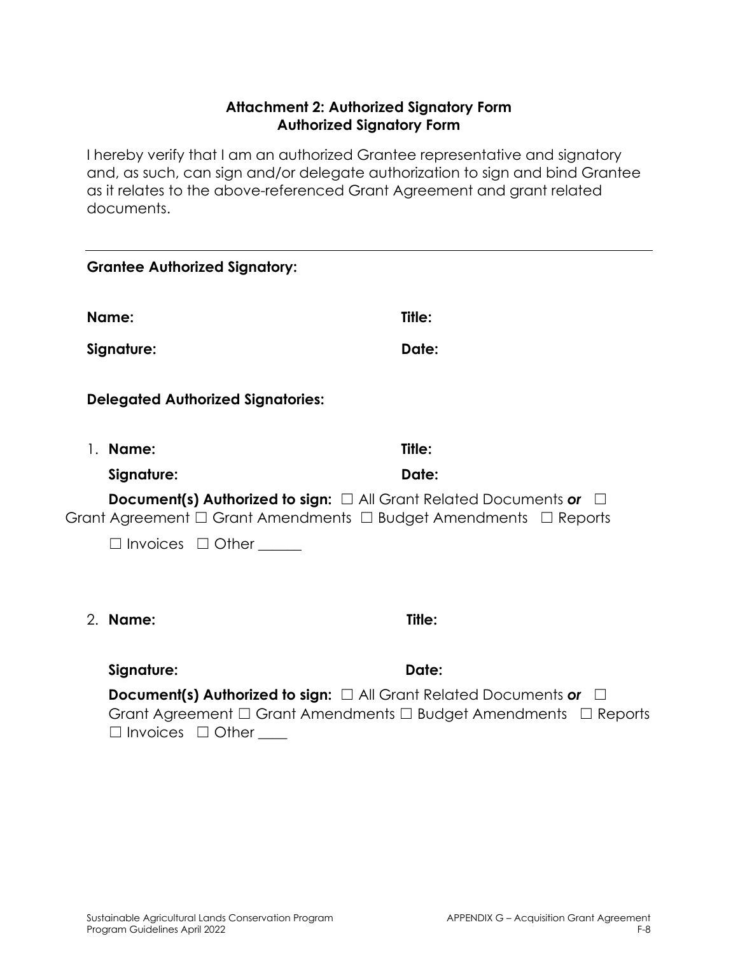#### **Attachment 2: Authorized Signatory Form Authorized Signatory Form**

I hereby verify that I am an authorized Grantee representative and signatory and, as such, can sign and/or delegate authorization to sign and bind Grantee as it relates to the above-referenced Grant Agreement and grant related documents.

|    | <b>Grantee Authorized Signatory:</b>                                                                                                                                                     |        |  |
|----|------------------------------------------------------------------------------------------------------------------------------------------------------------------------------------------|--------|--|
|    | Name:                                                                                                                                                                                    | Title: |  |
|    | Signature:                                                                                                                                                                               | Date:  |  |
|    | <b>Delegated Authorized Signatories:</b>                                                                                                                                                 |        |  |
| 1. | Name:                                                                                                                                                                                    | Title: |  |
|    | Signature:                                                                                                                                                                               | Date:  |  |
|    | <b>Document(s) Authorized to sign:</b> $\Box$ All Grant Related Documents or<br>Grant Agreement $\Box$ Grant Amendments $\Box$ Budget Amendments $\Box$ Reports                          |        |  |
|    | $\Box$ Invoices $\Box$ Other                                                                                                                                                             |        |  |
|    |                                                                                                                                                                                          |        |  |
|    | 2. Name:                                                                                                                                                                                 | Title: |  |
|    | Signature:                                                                                                                                                                               | Date:  |  |
|    | <b>Document(s) Authorized to sign:</b> $\Box$ All Grant Related Documents or<br>Grant Agreement $\Box$ Grant Amendments $\Box$ Budget Amendments $\Box$ Reports<br>Invoices $\Box$ Other |        |  |
|    |                                                                                                                                                                                          |        |  |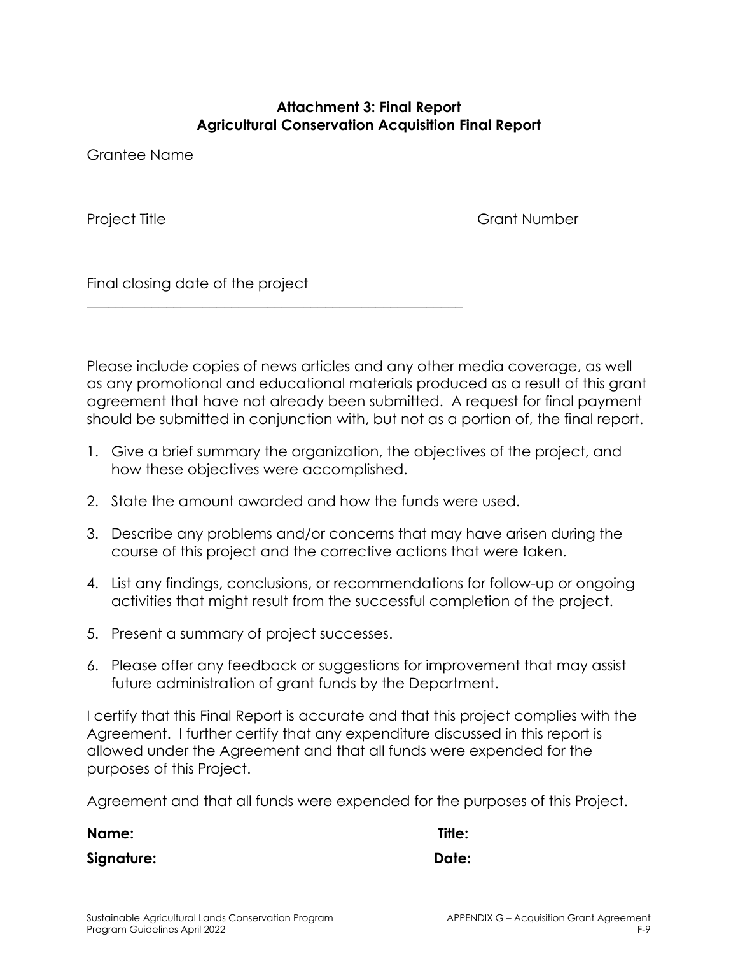#### **Attachment 3: Final Report Agricultural Conservation Acquisition Final Report**

Grantee Name

Project Title **Grant Number** 

Final closing date of the project

Please include copies of news articles and any other media coverage, as well as any promotional and educational materials produced as a result of this grant agreement that have not already been submitted. A request for final payment should be submitted in conjunction with, but not as a portion of, the final report.

- 1. Give a brief summary the organization, the objectives of the project, and how these objectives were accomplished.
- 2. State the amount awarded and how the funds were used.

\_\_\_\_\_\_\_\_\_\_\_\_\_\_\_\_\_\_\_\_\_\_\_\_\_\_\_\_\_\_\_\_\_\_\_\_\_\_\_\_\_\_\_\_\_\_\_\_\_\_\_\_

- 3. Describe any problems and/or concerns that may have arisen during the course of this project and the corrective actions that were taken.
- 4. List any findings, conclusions, or recommendations for follow-up or ongoing activities that might result from the successful completion of the project.
- 5. Present a summary of project successes.
- 6. Please offer any feedback or suggestions for improvement that may assist future administration of grant funds by the Department.

I certify that this Final Report is accurate and that this project complies with the Agreement. I further certify that any expenditure discussed in this report is allowed under the Agreement and that all funds were expended for the purposes of this Project.

Agreement and that all funds were expended for the purposes of this Project.

**Name: Title: Signature: Date:**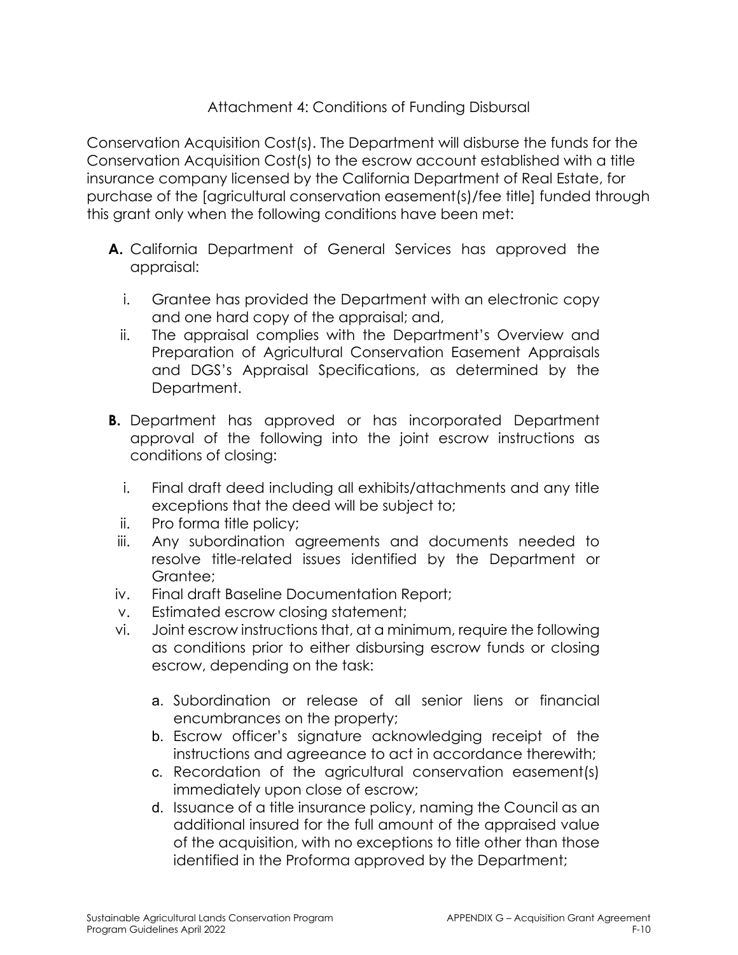### Attachment 4: Conditions of Funding Disbursal

Conservation Acquisition Cost(s). The Department will disburse the funds for the Conservation Acquisition Cost(s) to the escrow account established with a title insurance company licensed by the California Department of Real Estate, for purchase of the [agricultural conservation easement(s)/fee title] funded through this grant only when the following conditions have been met:

- **A.** California Department of General Services has approved the appraisal:
	- i. Grantee has provided the Department with an electronic copy and one hard copy of the appraisal; and,
	- ii. The appraisal complies with the Department's Overview and Preparation of Agricultural Conservation Easement Appraisals and DGS's Appraisal Specifications, as determined by the Department.
- **B.** Department has approved or has incorporated Department approval of the following into the joint escrow instructions as conditions of closing:
	- i. Final draft deed including all exhibits/attachments and any title exceptions that the deed will be subject to;
	- ii. Pro forma title policy;
- iii. Any subordination agreements and documents needed to resolve title-related issues identified by the Department or Grantee;
- iv. Final draft Baseline Documentation Report;
- v. Estimated escrow closing statement;
- vi. Joint escrow instructions that, at a minimum, require the following as conditions prior to either disbursing escrow funds or closing escrow, depending on the task:
	- a. Subordination or release of all senior liens or financial encumbrances on the property;
	- b. Escrow officer's signature acknowledging receipt of the instructions and agreeance to act in accordance therewith;
	- c. Recordation of the agricultural conservation easement(s) immediately upon close of escrow;
	- d. Issuance of a title insurance policy, naming the Council as an additional insured for the full amount of the appraised value of the acquisition, with no exceptions to title other than those identified in the Proforma approved by the Department;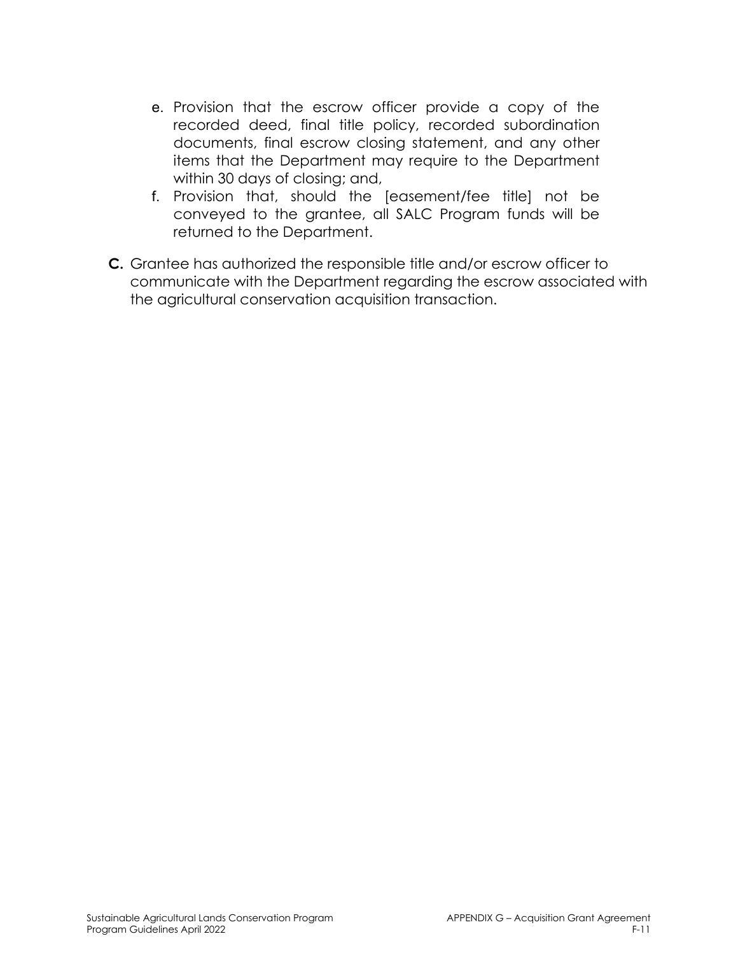- e. Provision that the escrow officer provide a copy of the recorded deed, final title policy, recorded subordination documents, final escrow closing statement, and any other items that the Department may require to the Department within 30 days of closing; and,
- f. Provision that, should the [easement/fee title] not be conveyed to the grantee, all SALC Program funds will be returned to the Department.
- **C.** Grantee has authorized the responsible title and/or escrow officer to communicate with the Department regarding the escrow associated with the agricultural conservation acquisition transaction.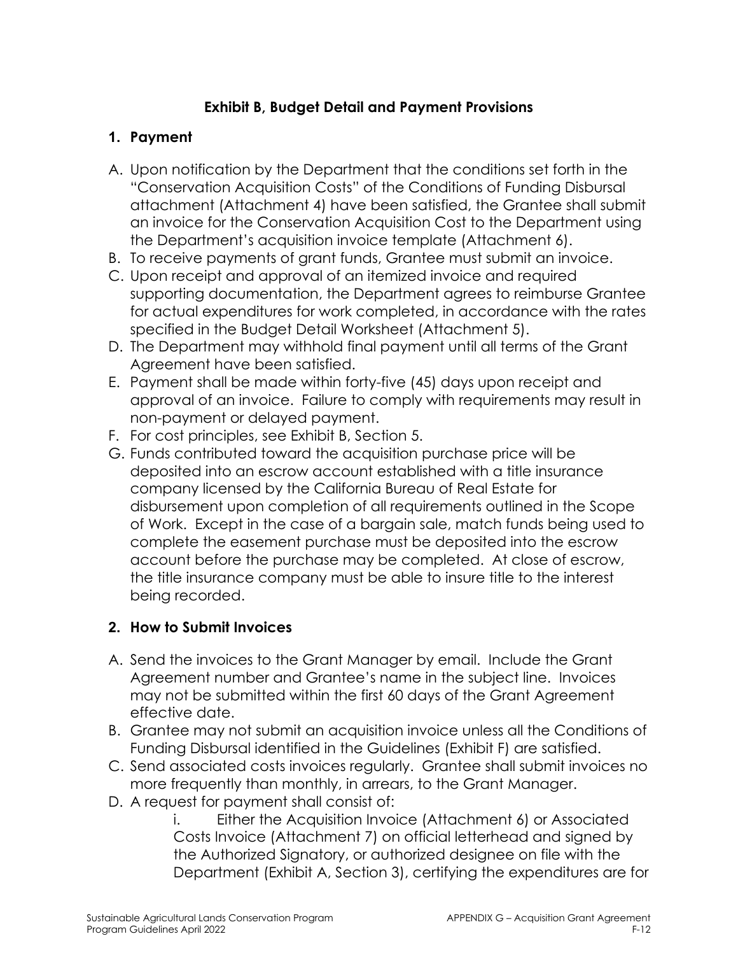### **Exhibit B, Budget Detail and Payment Provisions**

### **1. Payment**

- A. Upon notification by the Department that the conditions set forth in the "Conservation Acquisition Costs" of the Conditions of Funding Disbursal attachment (Attachment 4) have been satisfied, the Grantee shall submit an invoice for the Conservation Acquisition Cost to the Department using the Department's acquisition invoice template (Attachment 6).
- B. To receive payments of grant funds, Grantee must submit an invoice.
- C. Upon receipt and approval of an itemized invoice and required supporting documentation, the Department agrees to reimburse Grantee for actual expenditures for work completed, in accordance with the rates specified in the Budget Detail Worksheet (Attachment 5).
- D. The Department may withhold final payment until all terms of the Grant Agreement have been satisfied.
- E. Payment shall be made within forty-five (45) days upon receipt and approval of an invoice. Failure to comply with requirements may result in non-payment or delayed payment.
- F. For cost principles, see Exhibit B, Section 5.
- G. Funds contributed toward the acquisition purchase price will be deposited into an escrow account established with a title insurance company licensed by the California Bureau of Real Estate for disbursement upon completion of all requirements outlined in the Scope of Work. Except in the case of a bargain sale, match funds being used to complete the easement purchase must be deposited into the escrow account before the purchase may be completed. At close of escrow, the title insurance company must be able to insure title to the interest being recorded.

### **2. How to Submit Invoices**

- A. Send the invoices to the Grant Manager by email. Include the Grant Agreement number and Grantee's name in the subject line. Invoices may not be submitted within the first 60 days of the Grant Agreement effective date.
- B. Grantee may not submit an acquisition invoice unless all the Conditions of Funding Disbursal identified in the Guidelines (Exhibit F) are satisfied.
- C. Send associated costs invoices regularly. Grantee shall submit invoices no more frequently than monthly, in arrears, to the Grant Manager.
- D. A request for payment shall consist of:

i. Either the Acquisition Invoice (Attachment 6) or Associated Costs Invoice (Attachment 7) on official letterhead and signed by the Authorized Signatory, or authorized designee on file with the Department (Exhibit A, Section 3), certifying the expenditures are for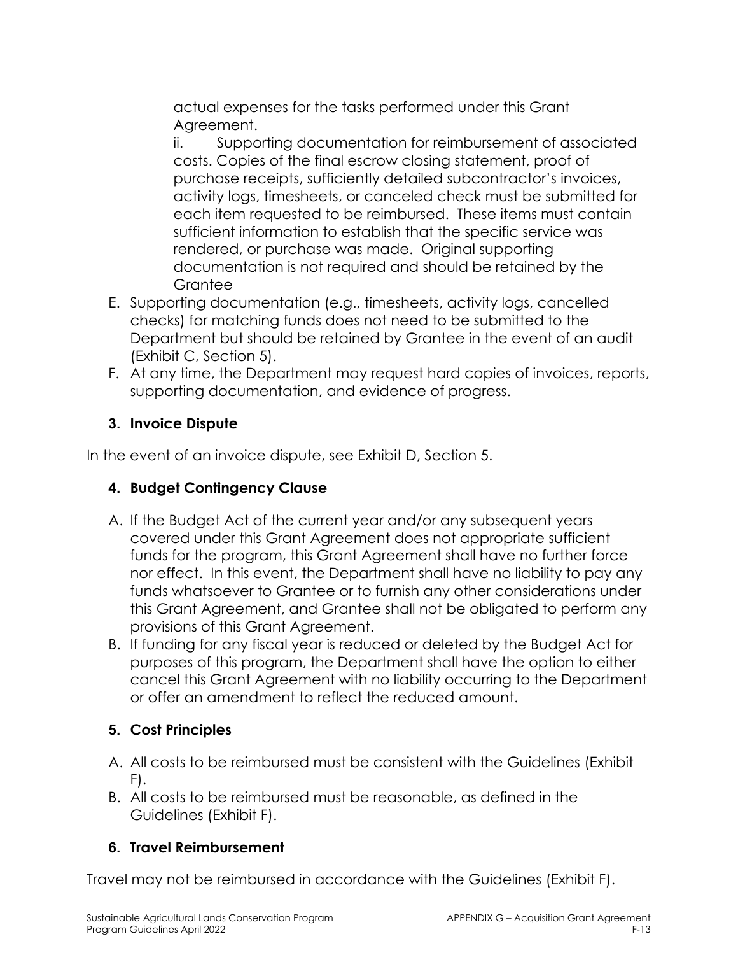actual expenses for the tasks performed under this Grant Agreement.

ii. Supporting documentation for reimbursement of associated costs. Copies of the final escrow closing statement, proof of purchase receipts, sufficiently detailed subcontractor's invoices, activity logs, timesheets, or canceled check must be submitted for each item requested to be reimbursed. These items must contain sufficient information to establish that the specific service was rendered, or purchase was made. Original supporting documentation is not required and should be retained by the **Grantee** 

- E. Supporting documentation (e.g., timesheets, activity logs, cancelled checks) for matching funds does not need to be submitted to the Department but should be retained by Grantee in the event of an audit (Exhibit C, Section 5).
- F. At any time, the Department may request hard copies of invoices, reports, supporting documentation, and evidence of progress.

# **3. Invoice Dispute**

In the event of an invoice dispute, see Exhibit D, Section 5.

### **4. Budget Contingency Clause**

- A. If the Budget Act of the current year and/or any subsequent years covered under this Grant Agreement does not appropriate sufficient funds for the program, this Grant Agreement shall have no further force nor effect. In this event, the Department shall have no liability to pay any funds whatsoever to Grantee or to furnish any other considerations under this Grant Agreement, and Grantee shall not be obligated to perform any provisions of this Grant Agreement.
- B. If funding for any fiscal year is reduced or deleted by the Budget Act for purposes of this program, the Department shall have the option to either cancel this Grant Agreement with no liability occurring to the Department or offer an amendment to reflect the reduced amount.

### **5. Cost Principles**

- A. All costs to be reimbursed must be consistent with the Guidelines (Exhibit F).
- B. All costs to be reimbursed must be reasonable, as defined in the Guidelines (Exhibit F).

### **6. Travel Reimbursement**

Travel may not be reimbursed in accordance with the Guidelines (Exhibit F).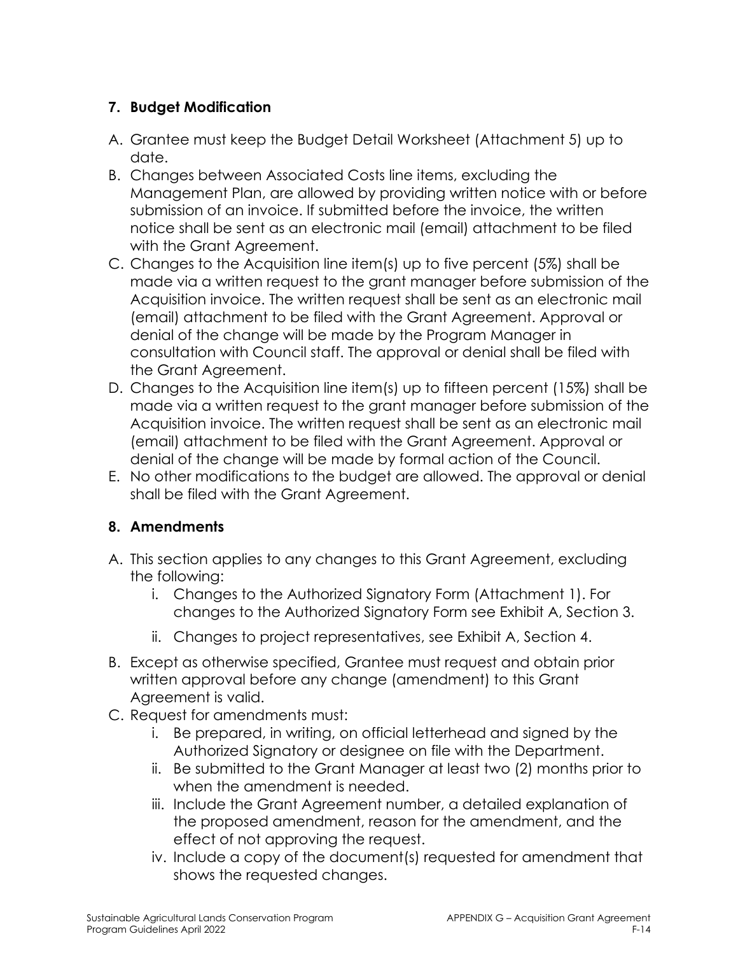### **7. Budget Modification**

- A. Grantee must keep the Budget Detail Worksheet (Attachment 5) up to date.
- B. Changes between Associated Costs line items, excluding the Management Plan, are allowed by providing written notice with or before submission of an invoice. If submitted before the invoice, the written notice shall be sent as an electronic mail (email) attachment to be filed with the Grant Agreement.
- C. Changes to the Acquisition line item(s) up to five percent (5%) shall be made via a written request to the grant manager before submission of the Acquisition invoice. The written request shall be sent as an electronic mail (email) attachment to be filed with the Grant Agreement. Approval or denial of the change will be made by the Program Manager in consultation with Council staff. The approval or denial shall be filed with the Grant Agreement.
- D. Changes to the Acquisition line item(s) up to fifteen percent (15%) shall be made via a written request to the grant manager before submission of the Acquisition invoice. The written request shall be sent as an electronic mail (email) attachment to be filed with the Grant Agreement. Approval or denial of the change will be made by formal action of the Council.
- E. No other modifications to the budget are allowed. The approval or denial shall be filed with the Grant Agreement.

### **8. Amendments**

- A. This section applies to any changes to this Grant Agreement, excluding the following:
	- i. Changes to the Authorized Signatory Form (Attachment 1). For changes to the Authorized Signatory Form see Exhibit A, Section 3.
	- ii. Changes to project representatives, see Exhibit A, Section 4.
- B. Except as otherwise specified, Grantee must request and obtain prior written approval before any change (amendment) to this Grant Agreement is valid.
- C. Request for amendments must:
	- i. Be prepared, in writing, on official letterhead and signed by the Authorized Signatory or designee on file with the Department.
	- ii. Be submitted to the Grant Manager at least two (2) months prior to when the amendment is needed.
	- iii. Include the Grant Agreement number, a detailed explanation of the proposed amendment, reason for the amendment, and the effect of not approving the request.
	- iv. Include a copy of the document(s) requested for amendment that shows the requested changes.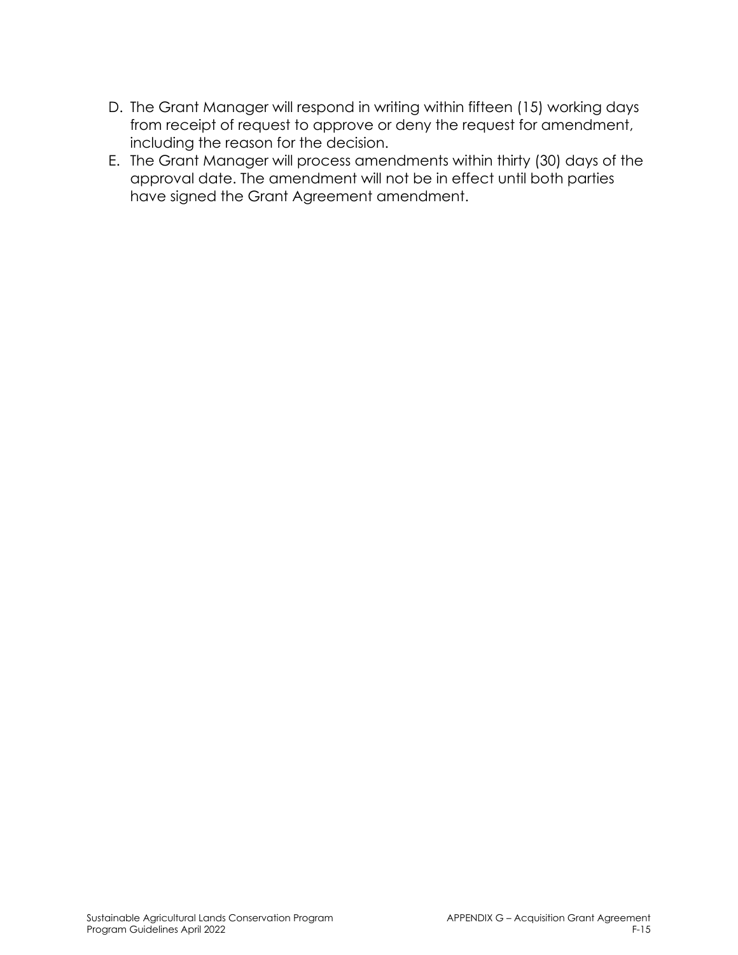- D. The Grant Manager will respond in writing within fifteen (15) working days from receipt of request to approve or deny the request for amendment, including the reason for the decision.
- E. The Grant Manager will process amendments within thirty (30) days of the approval date. The amendment will not be in effect until both parties have signed the Grant Agreement amendment.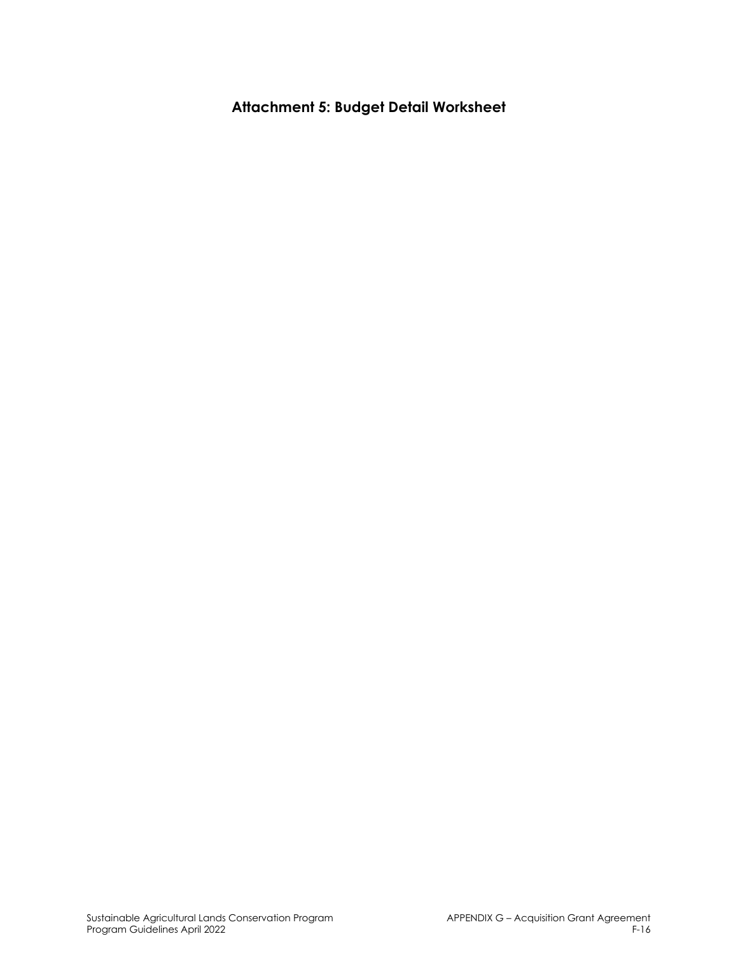**Attachment 5: Budget Detail Worksheet**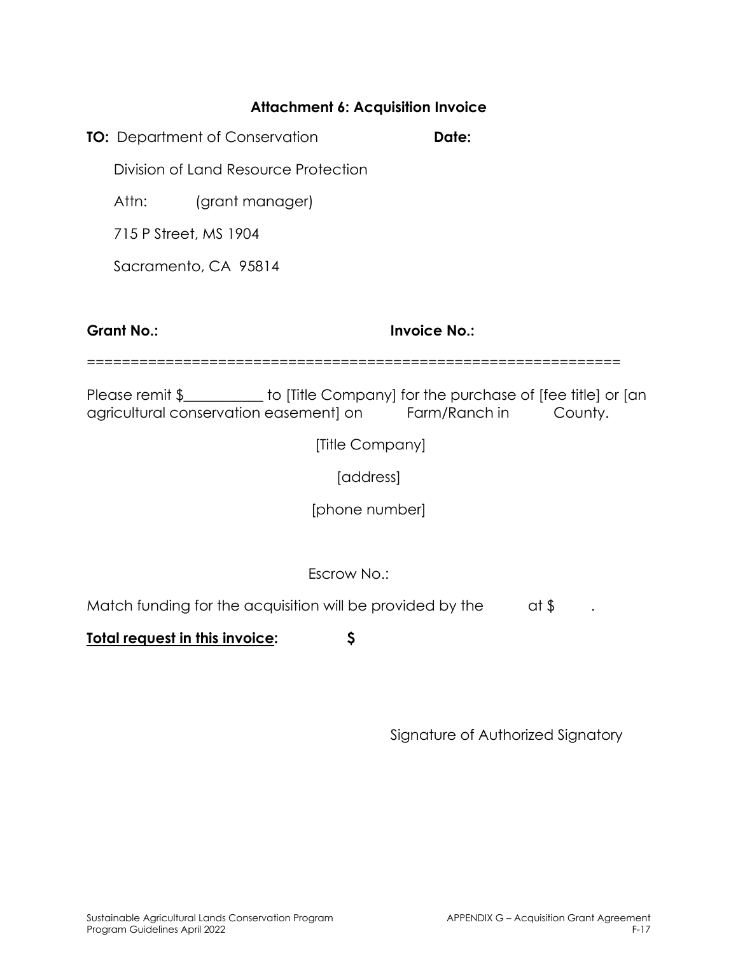#### **Attachment 6: Acquisition Invoice**

**TO:** Department of Conservation **Date: Date:** 

Division of Land Resource Protection

Attn: (grant manager)

715 P Street, MS 1904

Sacramento, CA 95814

**Grant No.: Invoice No.:** 

=============================================================

Please remit \$\_\_\_\_\_\_\_\_\_\_ to [Title Company] for the purchase of [fee title] or [an agricultural conservation easement] on Farm/Ranch in County.

[Title Company]

[address]

[phone number]

Escrow No.:

Match funding for the acquisition will be provided by the  $\qquad$  at \$

**Total request in this invoice: \$**

Signature of Authorized Signatory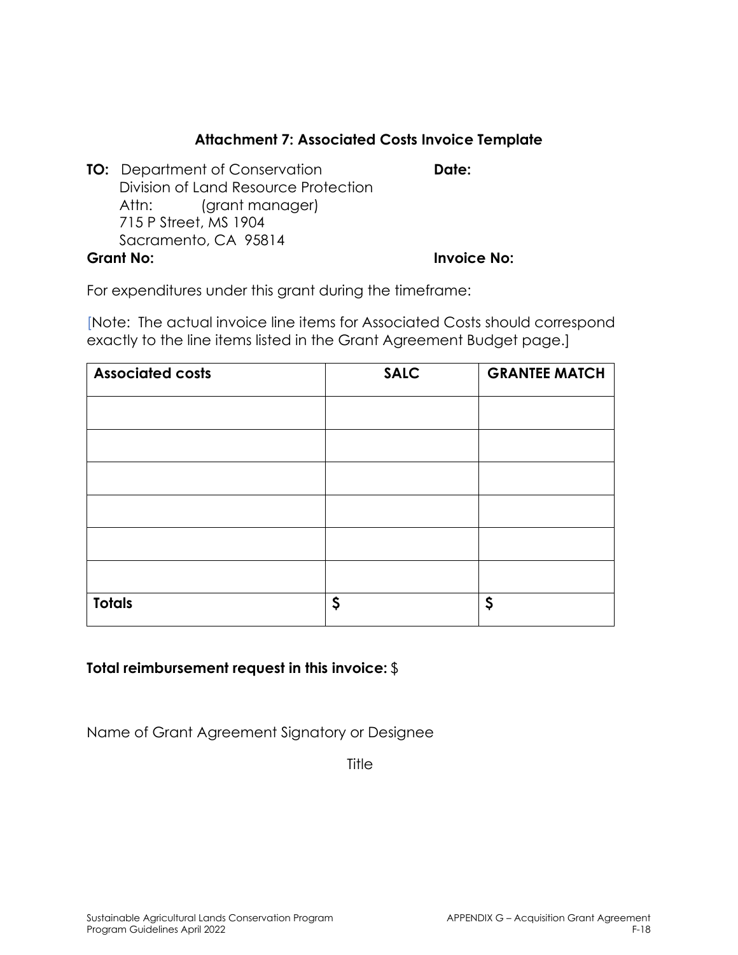### **Attachment 7: Associated Costs Invoice Template**

**TO:** Department of Conservation **Date:** Division of Land Resource Protection Attn: (grant manager) 715 P Street, MS 1904 Sacramento, CA 95814 **Grant No: Invoice No:** 

For expenditures under this grant during the timeframe:

[Note: The actual invoice line items for Associated Costs should correspond exactly to the line items listed in the Grant Agreement Budget page.]

| <b>Associated costs</b> | <b>SALC</b> | <b>GRANTEE MATCH</b> |
|-------------------------|-------------|----------------------|
|                         |             |                      |
|                         |             |                      |
|                         |             |                      |
|                         |             |                      |
|                         |             |                      |
|                         |             |                      |
|                         |             |                      |
| <b>Totals</b>           | \$          | \$                   |

#### **Total reimbursement request in this invoice:** \$

Name of Grant Agreement Signatory or Designee

**Title**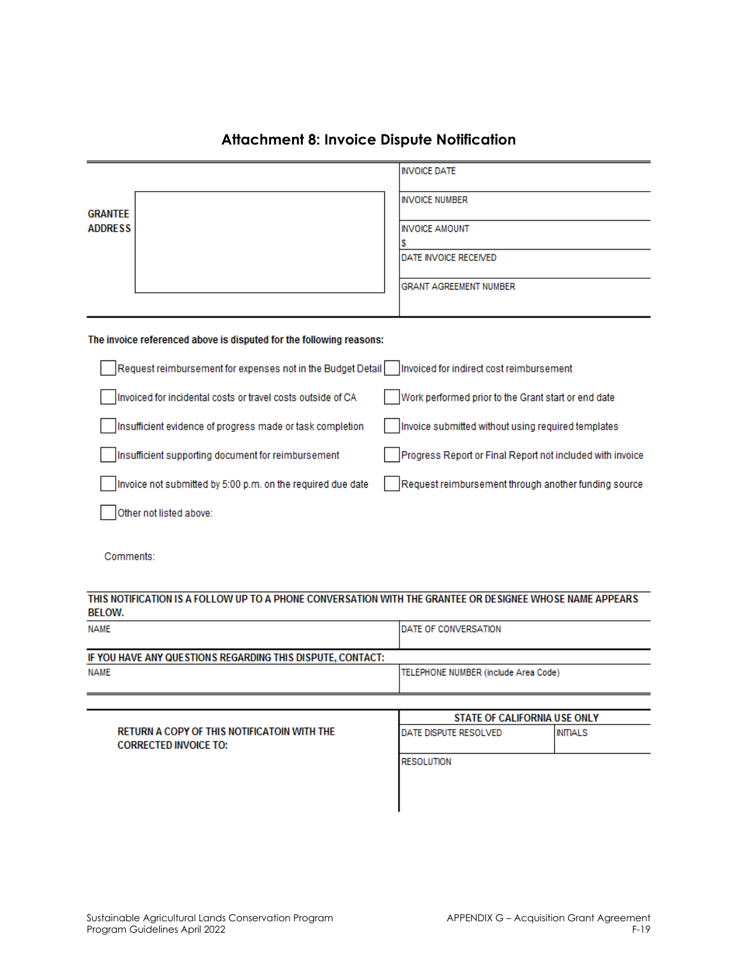|                                                                     |                                                             |  | <b>INVOICE DATE</b>                                       |
|---------------------------------------------------------------------|-------------------------------------------------------------|--|-----------------------------------------------------------|
| <b>GRANTEE</b>                                                      |                                                             |  | <b>INVOICE NUMBER</b>                                     |
| <b>ADDRESS</b>                                                      |                                                             |  | <b>INVOICE AMOUNT</b>                                     |
|                                                                     |                                                             |  | s<br>DATE INVOICE RECEIVED                                |
|                                                                     |                                                             |  | <b>GRANT AGREEMENT NUMBER</b>                             |
| The invoice referenced above is disputed for the following reasons: |                                                             |  |                                                           |
|                                                                     | Request reimbursement for expenses not in the Budget Detail |  | Invoiced for indirect cost reimbursement                  |
|                                                                     | Invoiced for incidental costs or travel costs outside of CA |  | Work performed prior to the Grant start or end date       |
|                                                                     | Insufficient evidence of progress made or task completion   |  | Invoice submitted without using required templates        |
|                                                                     | Insufficient supporting document for reimbursement          |  | Progress Report or Final Report not included with invoice |
|                                                                     | Invoice not submitted by 5:00 p.m. on the required due date |  | Request reimbursement through another funding source      |
|                                                                     | Other not listed above:                                     |  |                                                           |
|                                                                     |                                                             |  |                                                           |

#### **Attachment 8: Invoice Dispute Notification**

Comments:

#### THIS NOTIFICATION IS A FOLLOW UP TO A PHONE CONVERSATION WITH THE GRANTEE OR DESIGNEE WHOSE NAME APPEARS **BELOW.**

| <b>NAME</b>                                                | <b>IDATE OF CONVERSATION</b>         |
|------------------------------------------------------------|--------------------------------------|
| IF YOU HAVE ANY QUESTIONS REGARDING THIS DISPUTE, CONTACT: |                                      |
| <b>NAME</b>                                                | TELEPHONE NUMBER (include Area Code) |
|                                                            |                                      |
|                                                            |                                      |

|                                             |                               | STATE OF CALIFORNIA USE ONLY |  |  |
|---------------------------------------------|-------------------------------|------------------------------|--|--|
| RETURN A COPY OF THIS NOTIFICATOIN WITH THE | <b>IDATE DISPUTE RESOLVED</b> | INITIALS                     |  |  |
| <b>CORRECTED INVOICE TO:</b>                |                               |                              |  |  |
|                                             | <b>RESOLUTION</b>             |                              |  |  |
|                                             |                               |                              |  |  |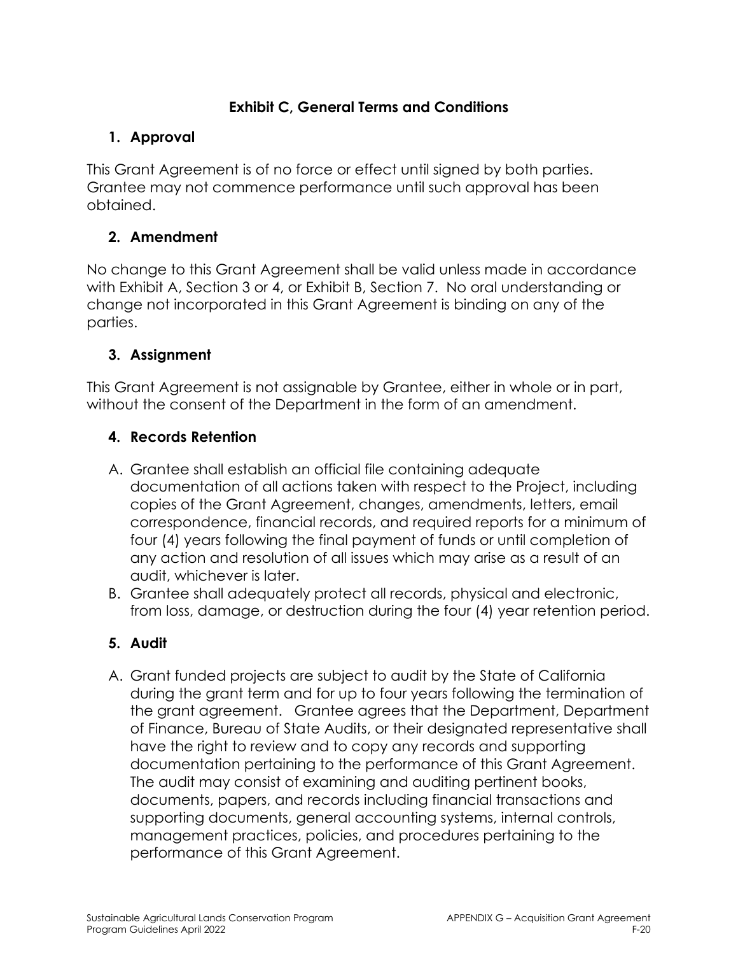### **Exhibit C, General Terms and Conditions**

### **1. Approval**

This Grant Agreement is of no force or effect until signed by both parties. Grantee may not commence performance until such approval has been obtained.

# **2. Amendment**

No change to this Grant Agreement shall be valid unless made in accordance with Exhibit A, Section 3 or 4, or Exhibit B, Section 7. No oral understanding or change not incorporated in this Grant Agreement is binding on any of the parties.

# **3. Assignment**

This Grant Agreement is not assignable by Grantee, either in whole or in part, without the consent of the Department in the form of an amendment.

# **4. Records Retention**

- A. Grantee shall establish an official file containing adequate documentation of all actions taken with respect to the Project, including copies of the Grant Agreement, changes, amendments, letters, email correspondence, financial records, and required reports for a minimum of four (4) years following the final payment of funds or until completion of any action and resolution of all issues which may arise as a result of an audit, whichever is later.
- B. Grantee shall adequately protect all records, physical and electronic, from loss, damage, or destruction during the four (4) year retention period.

### **5. Audit**

A. Grant funded projects are subject to audit by the State of California during the grant term and for up to four years following the termination of the grant agreement. Grantee agrees that the Department, Department of Finance, Bureau of State Audits, or their designated representative shall have the right to review and to copy any records and supporting documentation pertaining to the performance of this Grant Agreement. The audit may consist of examining and auditing pertinent books, documents, papers, and records including financial transactions and supporting documents, general accounting systems, internal controls, management practices, policies, and procedures pertaining to the performance of this Grant Agreement.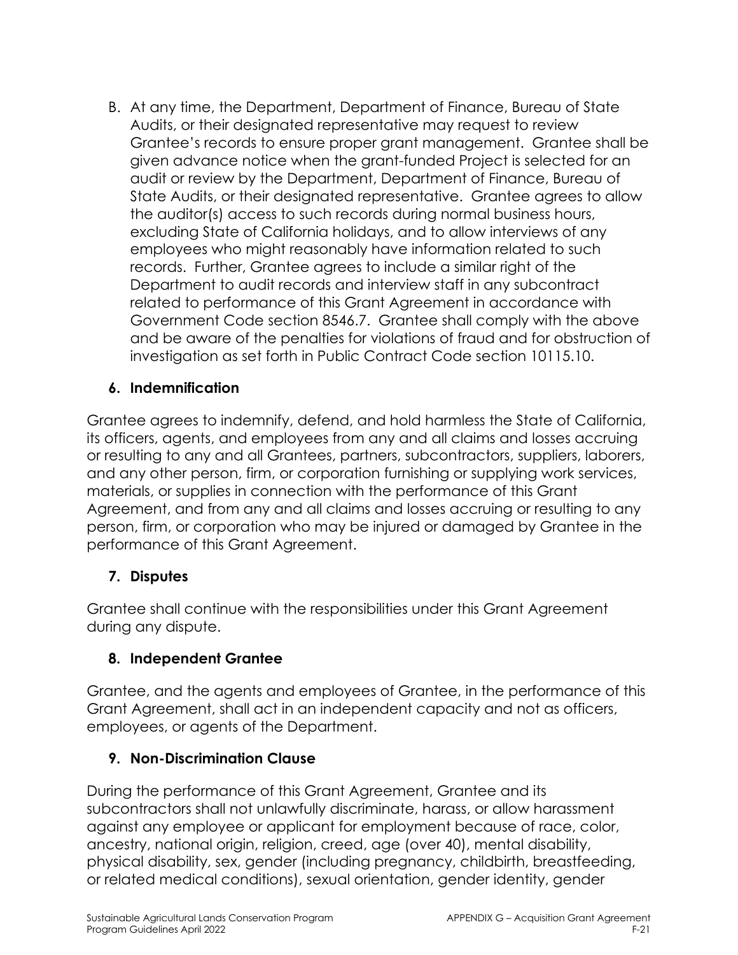B. At any time, the Department, Department of Finance, Bureau of State Audits, or their designated representative may request to review Grantee's records to ensure proper grant management. Grantee shall be given advance notice when the grant-funded Project is selected for an audit or review by the Department, Department of Finance, Bureau of State Audits, or their designated representative. Grantee agrees to allow the auditor(s) access to such records during normal business hours, excluding State of California holidays, and to allow interviews of any employees who might reasonably have information related to such records. Further, Grantee agrees to include a similar right of the Department to audit records and interview staff in any subcontract related to performance of this Grant Agreement in accordance with Government Code section 8546.7. Grantee shall comply with the above and be aware of the penalties for violations of fraud and for obstruction of investigation as set forth in Public Contract Code section 10115.10.

### **6. Indemnification**

Grantee agrees to indemnify, defend, and hold harmless the State of California, its officers, agents, and employees from any and all claims and losses accruing or resulting to any and all Grantees, partners, subcontractors, suppliers, laborers, and any other person, firm, or corporation furnishing or supplying work services, materials, or supplies in connection with the performance of this Grant Agreement, and from any and all claims and losses accruing or resulting to any person, firm, or corporation who may be injured or damaged by Grantee in the performance of this Grant Agreement.

### **7. Disputes**

Grantee shall continue with the responsibilities under this Grant Agreement during any dispute.

### **8. Independent Grantee**

Grantee, and the agents and employees of Grantee, in the performance of this Grant Agreement, shall act in an independent capacity and not as officers, employees, or agents of the Department.

### **9. Non-Discrimination Clause**

During the performance of this Grant Agreement, Grantee and its subcontractors shall not unlawfully discriminate, harass, or allow harassment against any employee or applicant for employment because of race, color, ancestry, national origin, religion, creed, age (over 40), mental disability, physical disability, sex, gender (including pregnancy, childbirth, breastfeeding, or related medical conditions), sexual orientation, gender identity, gender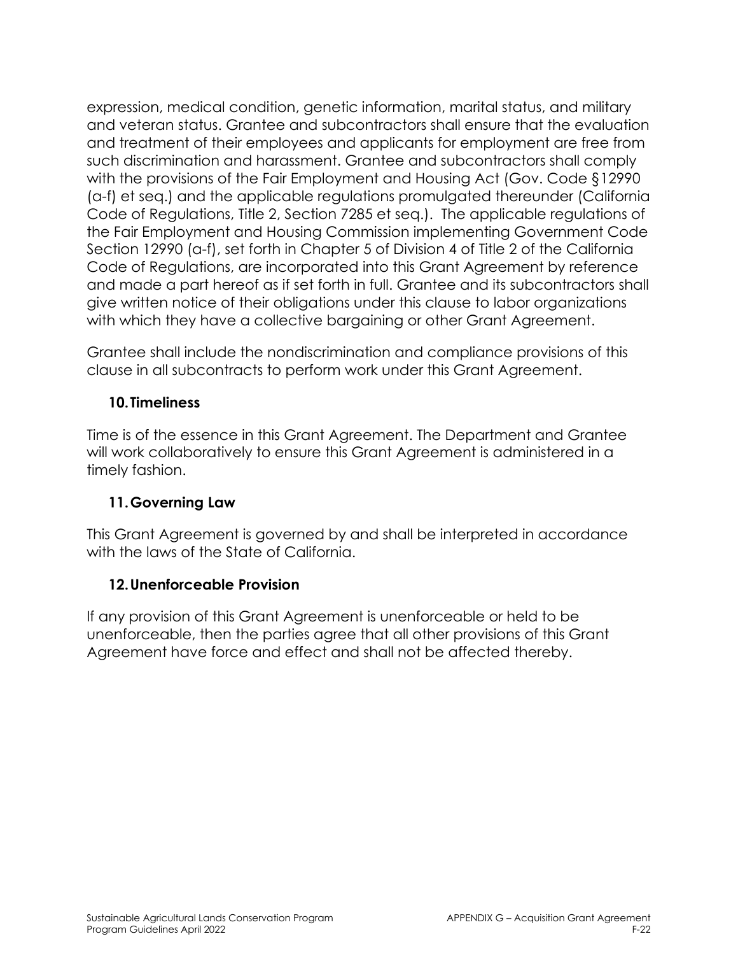expression, medical condition, genetic information, marital status, and military and veteran status. Grantee and subcontractors shall ensure that the evaluation and treatment of their employees and applicants for employment are free from such discrimination and harassment. Grantee and subcontractors shall comply with the provisions of the Fair Employment and Housing Act (Gov. Code §12990 (a-f) et seq.) and the applicable regulations promulgated thereunder (California Code of Regulations, Title 2, Section 7285 et seq.). The applicable regulations of the Fair Employment and Housing Commission implementing Government Code Section 12990 (a-f), set forth in Chapter 5 of Division 4 of Title 2 of the California Code of Regulations, are incorporated into this Grant Agreement by reference and made a part hereof as if set forth in full. Grantee and its subcontractors shall give written notice of their obligations under this clause to labor organizations with which they have a collective bargaining or other Grant Agreement.

Grantee shall include the nondiscrimination and compliance provisions of this clause in all subcontracts to perform work under this Grant Agreement.

### **10.Timeliness**

Time is of the essence in this Grant Agreement. The Department and Grantee will work collaboratively to ensure this Grant Agreement is administered in a timely fashion.

### **11.Governing Law**

This Grant Agreement is governed by and shall be interpreted in accordance with the laws of the State of California.

### **12.Unenforceable Provision**

If any provision of this Grant Agreement is unenforceable or held to be unenforceable, then the parties agree that all other provisions of this Grant Agreement have force and effect and shall not be affected thereby.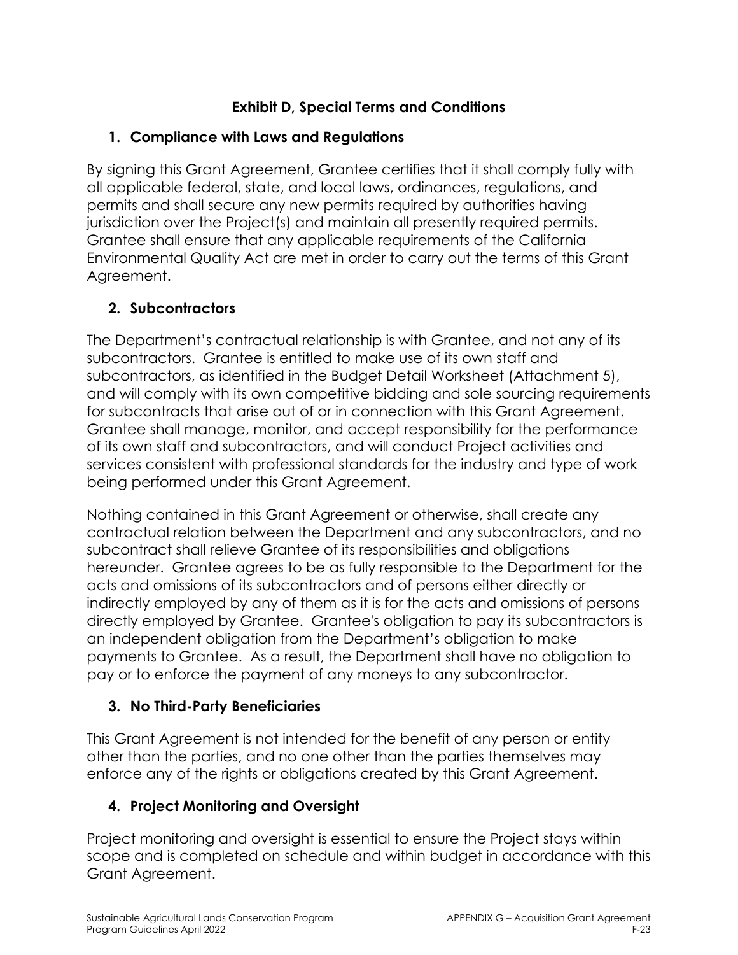# **Exhibit D, Special Terms and Conditions**

# **1. Compliance with Laws and Regulations**

By signing this Grant Agreement, Grantee certifies that it shall comply fully with all applicable federal, state, and local laws, ordinances, regulations, and permits and shall secure any new permits required by authorities having jurisdiction over the Project(s) and maintain all presently required permits. Grantee shall ensure that any applicable requirements of the California Environmental Quality Act are met in order to carry out the terms of this Grant Agreement.

# **2. Subcontractors**

The Department's contractual relationship is with Grantee, and not any of its subcontractors. Grantee is entitled to make use of its own staff and subcontractors, as identified in the Budget Detail Worksheet (Attachment 5), and will comply with its own competitive bidding and sole sourcing requirements for subcontracts that arise out of or in connection with this Grant Agreement. Grantee shall manage, monitor, and accept responsibility for the performance of its own staff and subcontractors, and will conduct Project activities and services consistent with professional standards for the industry and type of work being performed under this Grant Agreement.

Nothing contained in this Grant Agreement or otherwise, shall create any contractual relation between the Department and any subcontractors, and no subcontract shall relieve Grantee of its responsibilities and obligations hereunder. Grantee agrees to be as fully responsible to the Department for the acts and omissions of its subcontractors and of persons either directly or indirectly employed by any of them as it is for the acts and omissions of persons directly employed by Grantee. Grantee's obligation to pay its subcontractors is an independent obligation from the Department's obligation to make payments to Grantee. As a result, the Department shall have no obligation to pay or to enforce the payment of any moneys to any subcontractor.

# **3. No Third-Party Beneficiaries**

This Grant Agreement is not intended for the benefit of any person or entity other than the parties, and no one other than the parties themselves may enforce any of the rights or obligations created by this Grant Agreement.

# **4. Project Monitoring and Oversight**

Project monitoring and oversight is essential to ensure the Project stays within scope and is completed on schedule and within budget in accordance with this Grant Agreement.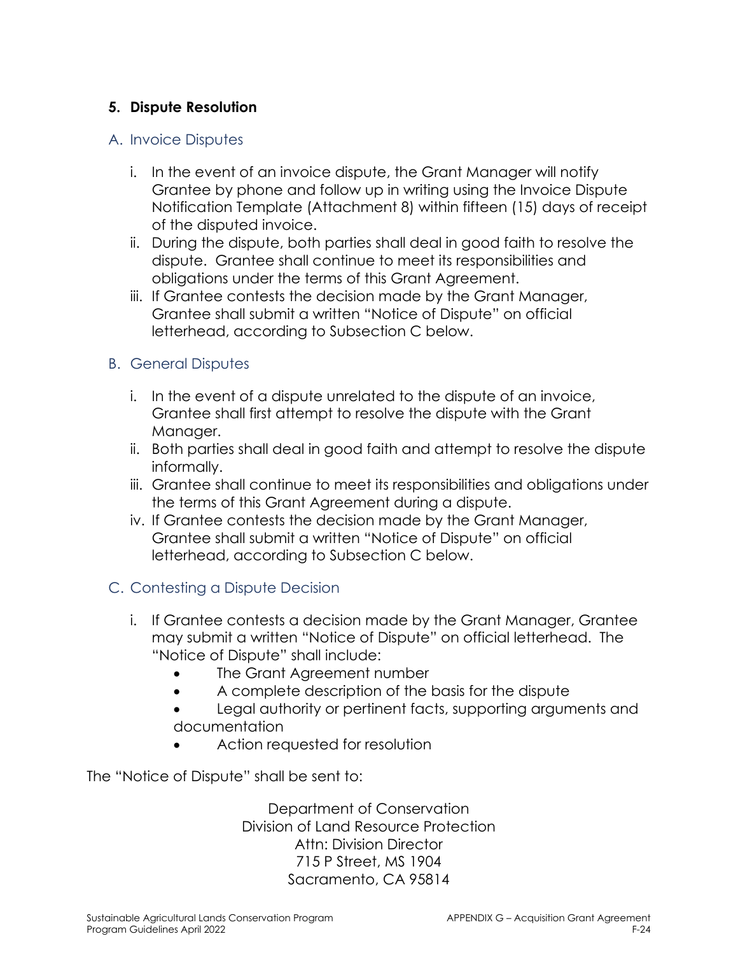### **5. Dispute Resolution**

#### A. Invoice Disputes

- i. In the event of an invoice dispute, the Grant Manager will notify Grantee by phone and follow up in writing using the Invoice Dispute Notification Template (Attachment 8) within fifteen (15) days of receipt of the disputed invoice.
- ii. During the dispute, both parties shall deal in good faith to resolve the dispute. Grantee shall continue to meet its responsibilities and obligations under the terms of this Grant Agreement.
- iii. If Grantee contests the decision made by the Grant Manager, Grantee shall submit a written "Notice of Dispute" on official letterhead, according to Subsection C below.

#### B. General Disputes

- i. In the event of a dispute unrelated to the dispute of an invoice, Grantee shall first attempt to resolve the dispute with the Grant Manager.
- ii. Both parties shall deal in good faith and attempt to resolve the dispute informally.
- iii. Grantee shall continue to meet its responsibilities and obligations under the terms of this Grant Agreement during a dispute.
- iv. If Grantee contests the decision made by the Grant Manager, Grantee shall submit a written "Notice of Dispute" on official letterhead, according to Subsection C below.

### C. Contesting a Dispute Decision

- i. If Grantee contests a decision made by the Grant Manager, Grantee may submit a written "Notice of Dispute" on official letterhead. The "Notice of Dispute" shall include:
	- The Grant Agreement number
	- A complete description of the basis for the dispute
	- Legal authority or pertinent facts, supporting arguments and documentation
	- Action requested for resolution

The "Notice of Dispute" shall be sent to:

Department of Conservation Division of Land Resource Protection Attn: Division Director 715 P Street, MS 1904 Sacramento, CA 95814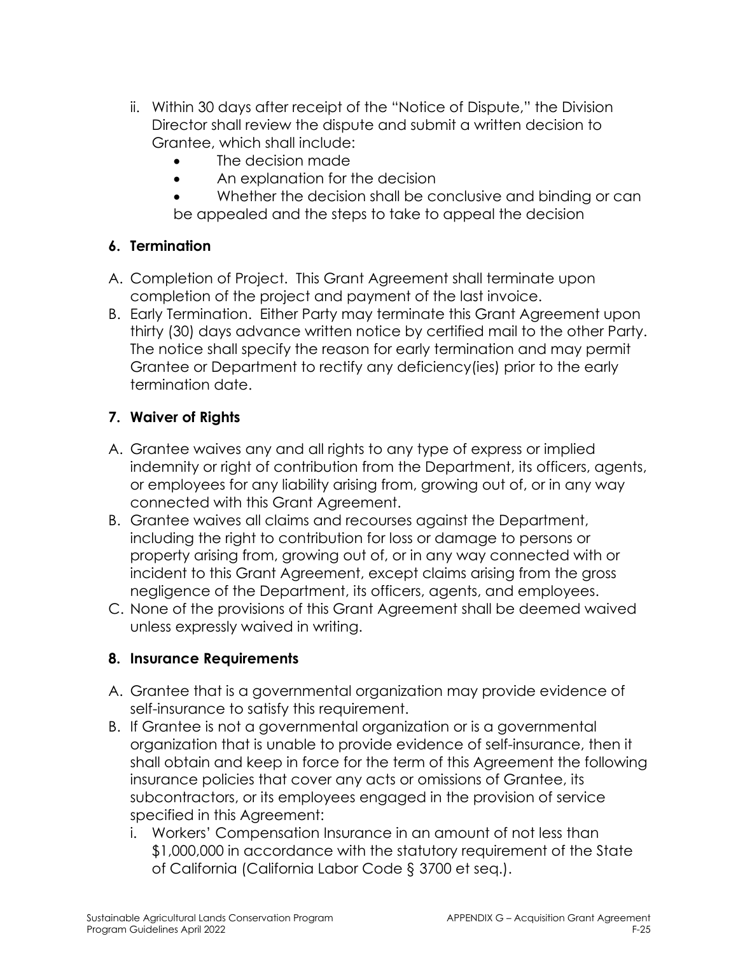- ii. Within 30 days after receipt of the "Notice of Dispute," the Division Director shall review the dispute and submit a written decision to Grantee, which shall include:
	- The decision made
	- An explanation for the decision
	- Whether the decision shall be conclusive and binding or can be appealed and the steps to take to appeal the decision

### **6. Termination**

- A. Completion of Project. This Grant Agreement shall terminate upon completion of the project and payment of the last invoice.
- B. Early Termination. Either Party may terminate this Grant Agreement upon thirty (30) days advance written notice by certified mail to the other Party. The notice shall specify the reason for early termination and may permit Grantee or Department to rectify any deficiency(ies) prior to the early termination date.

### **7. Waiver of Rights**

- A. Grantee waives any and all rights to any type of express or implied indemnity or right of contribution from the Department, its officers, agents, or employees for any liability arising from, growing out of, or in any way connected with this Grant Agreement.
- B. Grantee waives all claims and recourses against the Department, including the right to contribution for loss or damage to persons or property arising from, growing out of, or in any way connected with or incident to this Grant Agreement, except claims arising from the gross negligence of the Department, its officers, agents, and employees.
- C. None of the provisions of this Grant Agreement shall be deemed waived unless expressly waived in writing.

### **8. Insurance Requirements**

- A. Grantee that is a governmental organization may provide evidence of self-insurance to satisfy this requirement.
- B. If Grantee is not a governmental organization or is a governmental organization that is unable to provide evidence of self-insurance, then it shall obtain and keep in force for the term of this Agreement the following insurance policies that cover any acts or omissions of Grantee, its subcontractors, or its employees engaged in the provision of service specified in this Agreement:
	- i. Workers' Compensation Insurance in an amount of not less than \$1,000,000 in accordance with the statutory requirement of the State of California (California Labor Code § 3700 et seq.).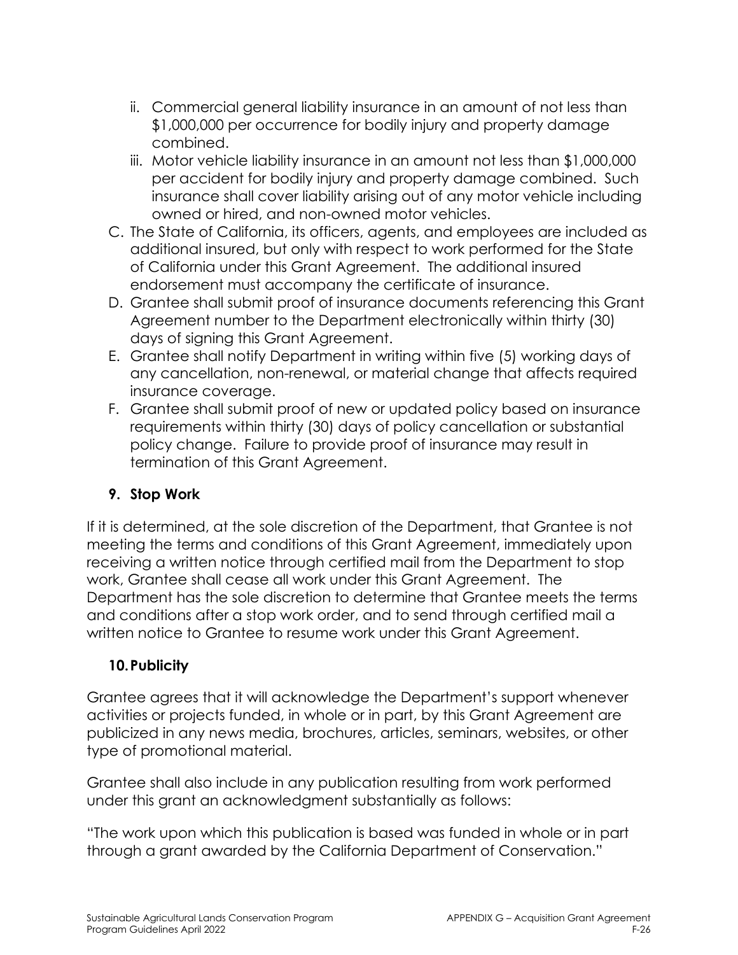- ii. Commercial general liability insurance in an amount of not less than \$1,000,000 per occurrence for bodily injury and property damage combined.
- iii. Motor vehicle liability insurance in an amount not less than \$1,000,000 per accident for bodily injury and property damage combined. Such insurance shall cover liability arising out of any motor vehicle including owned or hired, and non-owned motor vehicles.
- C. The State of California, its officers, agents, and employees are included as additional insured, but only with respect to work performed for the State of California under this Grant Agreement. The additional insured endorsement must accompany the certificate of insurance.
- D. Grantee shall submit proof of insurance documents referencing this Grant Agreement number to the Department electronically within thirty (30) days of signing this Grant Agreement.
- E. Grantee shall notify Department in writing within five (5) working days of any cancellation, non-renewal, or material change that affects required insurance coverage.
- F. Grantee shall submit proof of new or updated policy based on insurance requirements within thirty (30) days of policy cancellation or substantial policy change. Failure to provide proof of insurance may result in termination of this Grant Agreement.

### **9. Stop Work**

If it is determined, at the sole discretion of the Department, that Grantee is not meeting the terms and conditions of this Grant Agreement, immediately upon receiving a written notice through certified mail from the Department to stop work, Grantee shall cease all work under this Grant Agreement. The Department has the sole discretion to determine that Grantee meets the terms and conditions after a stop work order, and to send through certified mail a written notice to Grantee to resume work under this Grant Agreement.

### **10.Publicity**

Grantee agrees that it will acknowledge the Department's support whenever activities or projects funded, in whole or in part, by this Grant Agreement are publicized in any news media, brochures, articles, seminars, websites, or other type of promotional material.

Grantee shall also include in any publication resulting from work performed under this grant an acknowledgment substantially as follows:

"The work upon which this publication is based was funded in whole or in part through a grant awarded by the California Department of Conservation."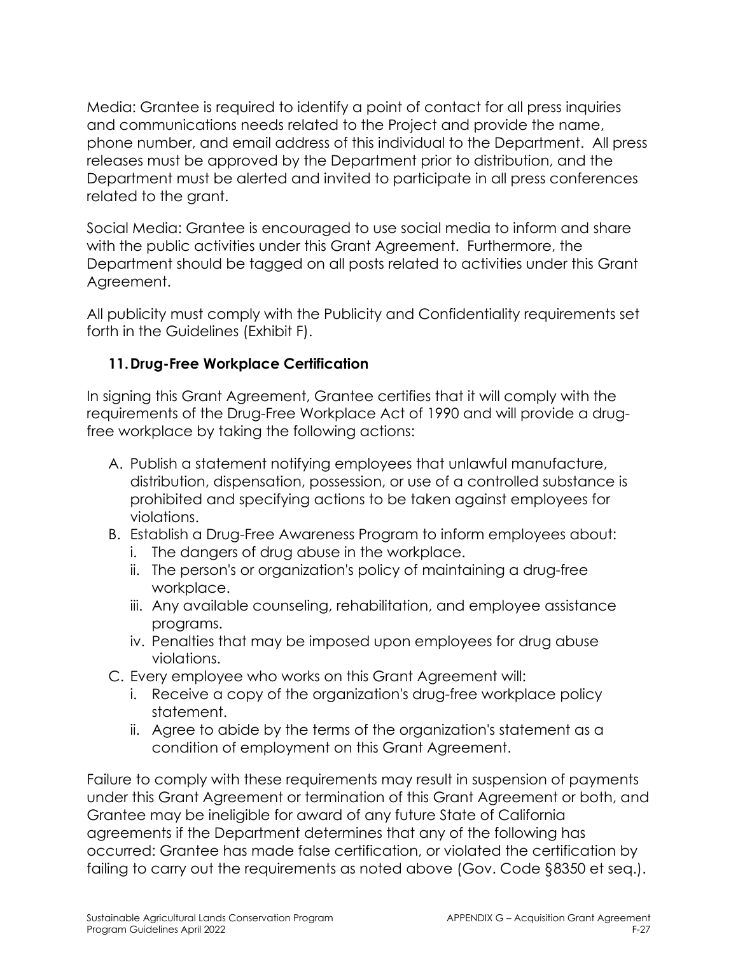Media: Grantee is required to identify a point of contact for all press inquiries and communications needs related to the Project and provide the name, phone number, and email address of this individual to the Department. All press releases must be approved by the Department prior to distribution, and the Department must be alerted and invited to participate in all press conferences related to the grant.

Social Media: Grantee is encouraged to use social media to inform and share with the public activities under this Grant Agreement. Furthermore, the Department should be tagged on all posts related to activities under this Grant Agreement.

All publicity must comply with the Publicity and Confidentiality requirements set forth in the Guidelines (Exhibit F).

### **11.Drug-Free Workplace Certification**

In signing this Grant Agreement, Grantee certifies that it will comply with the requirements of the Drug-Free Workplace Act of 1990 and will provide a drugfree workplace by taking the following actions:

- A. Publish a statement notifying employees that unlawful manufacture, distribution, dispensation, possession, or use of a controlled substance is prohibited and specifying actions to be taken against employees for violations.
- B. Establish a Drug-Free Awareness Program to inform employees about:
	- i. The dangers of drug abuse in the workplace.
	- ii. The person's or organization's policy of maintaining a drug-free workplace.
	- iii. Any available counseling, rehabilitation, and employee assistance programs.
	- iv. Penalties that may be imposed upon employees for drug abuse violations.
- C. Every employee who works on this Grant Agreement will:
	- i. Receive a copy of the organization's drug-free workplace policy statement.
	- ii. Agree to abide by the terms of the organization's statement as a condition of employment on this Grant Agreement.

Failure to comply with these requirements may result in suspension of payments under this Grant Agreement or termination of this Grant Agreement or both, and Grantee may be ineligible for award of any future State of California agreements if the Department determines that any of the following has occurred: Grantee has made false certification, or violated the certification by failing to carry out the requirements as noted above (Gov. Code §8350 et seq.).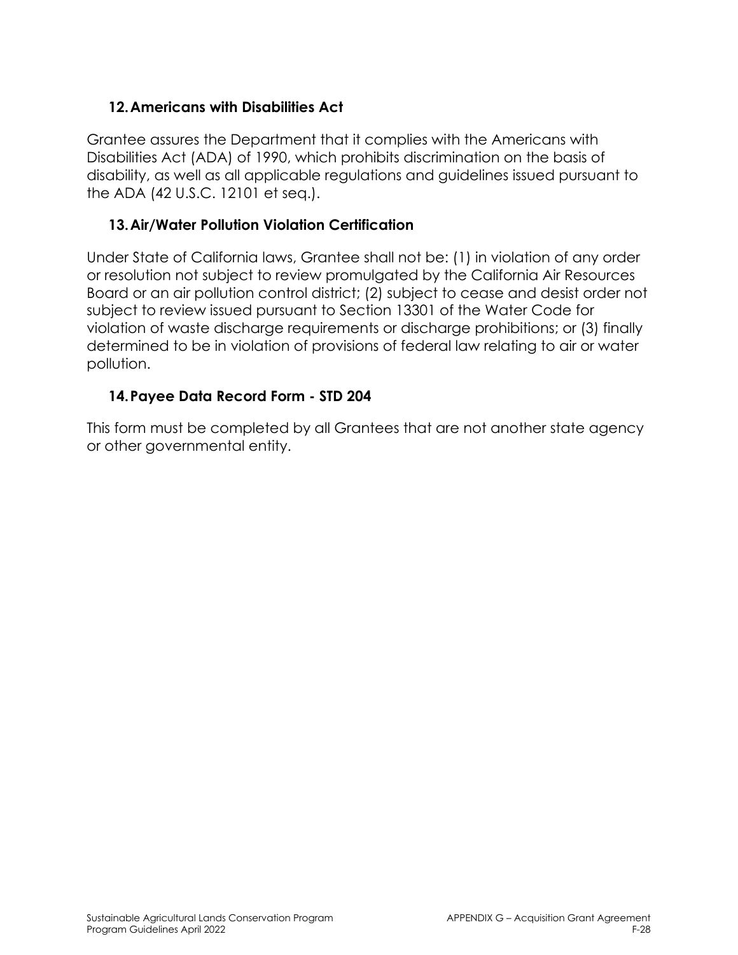### **12.Americans with Disabilities Act**

Grantee assures the Department that it complies with the Americans with Disabilities Act (ADA) of 1990, which prohibits discrimination on the basis of disability, as well as all applicable regulations and guidelines issued pursuant to the ADA (42 U.S.C. 12101 et seq.).

### **13.Air/Water Pollution Violation Certification**

Under State of California laws, Grantee shall not be: (1) in violation of any order or resolution not subject to review promulgated by the California Air Resources Board or an air pollution control district; (2) subject to cease and desist order not subject to review issued pursuant to Section 13301 of the Water Code for violation of waste discharge requirements or discharge prohibitions; or (3) finally determined to be in violation of provisions of federal law relating to air or water pollution.

### **14.Payee Data Record Form - STD 204**

This form must be completed by all Grantees that are not another state agency or other governmental entity.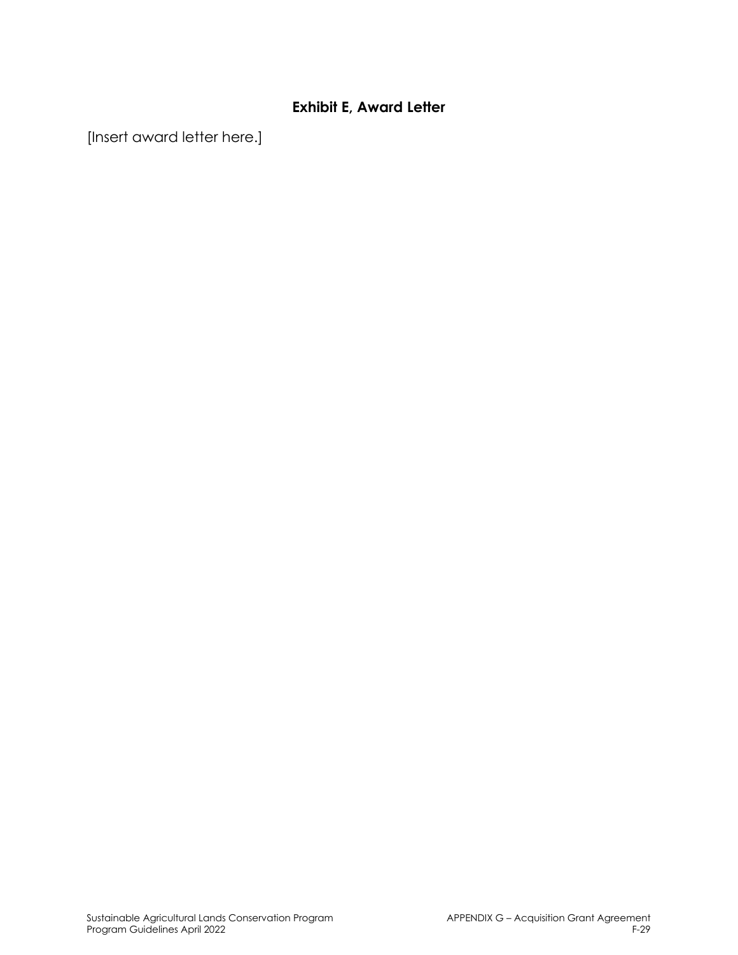### **Exhibit E, Award Letter**

[Insert award letter here.]